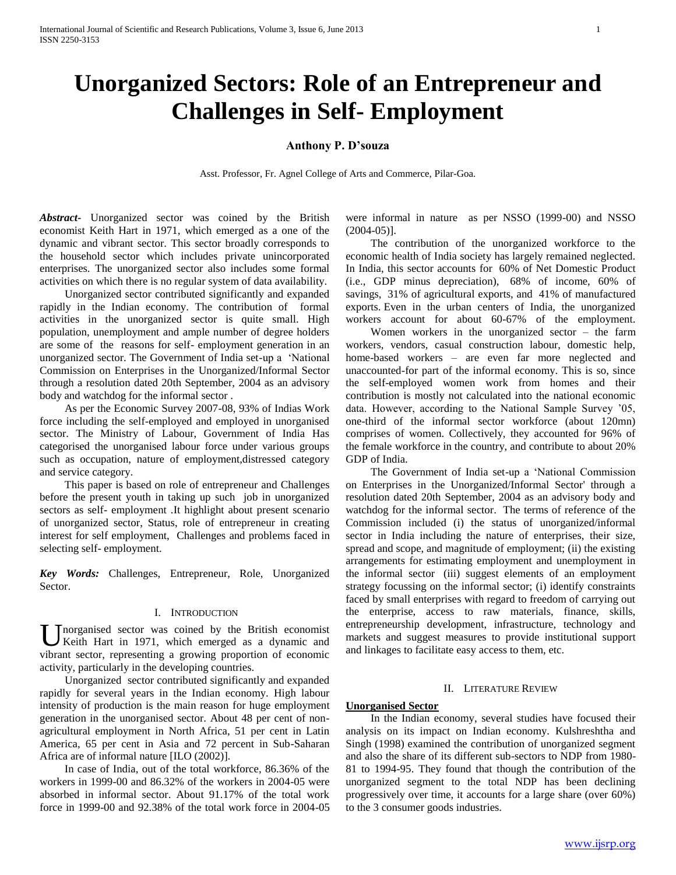# **Unorganized Sectors: Role of an Entrepreneur and Challenges in Self- Employment**

### **Anthony P. D'souza**

Asst. Professor, Fr. Agnel College of Arts and Commerce, Pilar-Goa.

*Abstract***-** Unorganized sector was coined by the British economist Keith Hart in 1971, which emerged as a one of the dynamic and vibrant sector. This sector broadly corresponds to the household sector which includes private unincorporated enterprises. The unorganized sector also includes some formal activities on which there is no regular system of data availability.

 Unorganized sector contributed significantly and expanded rapidly in the Indian economy. The contribution of formal activities in the unorganized sector is quite small. High population, unemployment and ample number of degree holders are some of the reasons for self- employment generation in an unorganized sector. The Government of India set-up a 'National Commission on Enterprises in the Unorganized/Informal Sector through a resolution dated 20th September, 2004 as an advisory body and watchdog for the informal sector .

 As per the Economic Survey 2007-08, 93% of Indias Work force including the self-employed and employed in unorganised sector. The Ministry of Labour, Government of India Has categorised the unorganised labour force under various groups such as occupation, nature of employment,distressed category and service category.

 This paper is based on role of entrepreneur and Challenges before the present youth in taking up such job in unorganized sectors as self- employment .It highlight about present scenario of unorganized sector, Status, role of entrepreneur in creating interest for self employment, Challenges and problems faced in selecting self- employment.

*Key Words:* Challenges, Entrepreneur, Role, Unorganized Sector.

### I. INTRODUCTION

norganised sector was coined by the British economist Keith Hart in 1971, which emerged as a dynamic and U norganised sector was coined by the British economist<br>Keith Hart in 1971, which emerged as a dynamic and<br>vibrant sector, representing a growing proportion of economic activity, particularly in the developing countries.

 Unorganized sector contributed significantly and expanded rapidly for several years in the Indian economy. High labour intensity of production is the main reason for huge employment generation in the unorganised sector. About 48 per cent of nonagricultural employment in North Africa, 51 per cent in Latin America, 65 per cent in Asia and 72 percent in Sub-Saharan Africa are of informal nature [ILO (2002)].

 In case of India, out of the total workforce, 86.36% of the workers in 1999-00 and 86.32% of the workers in 2004-05 were absorbed in informal sector. About 91.17% of the total work force in 1999-00 and 92.38% of the total work force in 2004-05

were informal in nature as per NSSO (1999-00) and NSSO (2004-05)].

 The contribution of the unorganized workforce to the economic health of India society has largely remained neglected. In India, this sector accounts for 60% of Net Domestic Product (i.e., GDP minus depreciation), 68% of income, 60% of savings, 31% of agricultural exports, and 41% of manufactured exports. Even in the urban centers of India, the unorganized workers account for about 60-67% of the employment.

 Women workers in the unorganized sector – the farm workers, vendors, casual construction labour, domestic help, home-based workers – are even far more neglected and unaccounted-for part of the informal economy. This is so, since the self-employed women work from homes and their contribution is mostly not calculated into the national economic data. However, according to the National Sample Survey '05, one-third of the informal sector workforce (about 120mn) comprises of women. Collectively, they accounted for 96% of the female workforce in the country, and contribute to about 20% GDP of India.

 The Government of India set-up a 'National Commission on Enterprises in the Unorganized/Informal Sector' through a resolution dated 20th September, 2004 as an advisory body and watchdog for the informal sector. The terms of reference of the Commission included (i) the status of unorganized/informal sector in India including the nature of enterprises, their size, spread and scope, and magnitude of employment; (ii) the existing arrangements for estimating employment and unemployment in the informal sector (iii) suggest elements of an employment strategy focussing on the informal sector; (i) identify constraints faced by small enterprises with regard to freedom of carrying out the enterprise, access to raw materials, finance, skills, entrepreneurship development, infrastructure, technology and markets and suggest measures to provide institutional support and linkages to facilitate easy access to them, etc.

### II. LITERATURE REVIEW

### **Unorganised Sector**

 In the Indian economy, several studies have focused their analysis on its impact on Indian economy. Kulshreshtha and Singh (1998) examined the contribution of unorganized segment and also the share of its different sub-sectors to NDP from 1980- 81 to 1994-95. They found that though the contribution of the unorganized segment to the total NDP has been declining progressively over time, it accounts for a large share (over 60%) to the 3 consumer goods industries.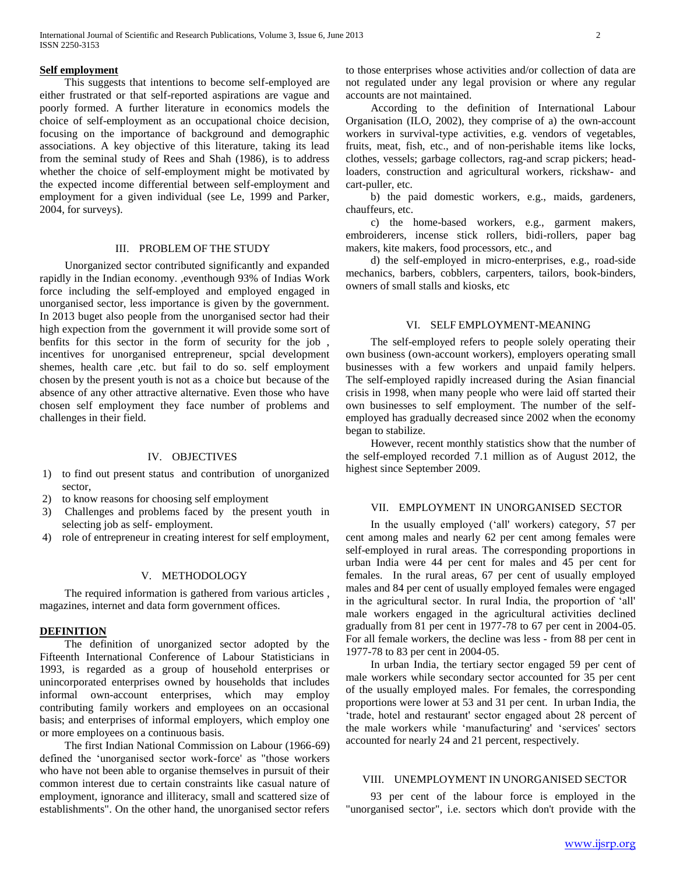### **Self employment**

 This suggests that intentions to become self-employed are either frustrated or that self-reported aspirations are vague and poorly formed. A further literature in economics models the choice of self-employment as an occupational choice decision, focusing on the importance of background and demographic associations. A key objective of this literature, taking its lead from the seminal study of Rees and Shah (1986), is to address whether the choice of self-employment might be motivated by the expected income differential between self-employment and employment for a given individual (see Le, 1999 and Parker, 2004, for surveys).

### III. PROBLEM OF THE STUDY

 Unorganized sector contributed significantly and expanded rapidly in the Indian economy. ,eventhough 93% of Indias Work force including the self-employed and employed engaged in unorganised sector, less importance is given by the government. In 2013 buget also people from the unorganised sector had their high expection from the government it will provide some sort of benfits for this sector in the form of security for the job , incentives for unorganised entrepreneur, spcial development shemes, health care ,etc. but fail to do so. self employment chosen by the present youth is not as a choice but because of the absence of any other attractive alternative. Even those who have chosen self employment they face number of problems and challenges in their field.

### IV. OBJECTIVES

- 1) to find out present status and contribution of unorganized sector,
- 2) to know reasons for choosing self employment
- 3) Challenges and problems faced by the present youth in selecting job as self- employment.
- 4) role of entrepreneur in creating interest for self employment,

### V. METHODOLOGY

 The required information is gathered from various articles , magazines, internet and data form government offices.

### **DEFINITION**

 The definition of unorganized sector adopted by the Fifteenth International Conference of Labour Statisticians in 1993, is regarded as a group of household enterprises or unincorporated enterprises owned by households that includes informal own-account enterprises, which may employ contributing family workers and employees on an occasional basis; and enterprises of informal employers, which employ one or more employees on a continuous basis.

 The first Indian National Commission on Labour (1966-69) defined the 'unorganised sector work-force' as "those workers who have not been able to organise themselves in pursuit of their common interest due to certain constraints like casual nature of employment, ignorance and illiteracy, small and scattered size of establishments". On the other hand, the unorganised sector refers to those enterprises whose activities and/or collection of data are not regulated under any legal provision or where any regular accounts are not maintained.

 According to the definition of International Labour Organisation (ILO, 2002), they comprise of a) the own-account workers in survival-type activities, e.g. vendors of vegetables, fruits, meat, fish, etc., and of non-perishable items like locks, clothes, vessels; garbage collectors, rag-and scrap pickers; headloaders, construction and agricultural workers, rickshaw- and cart-puller, etc.

 b) the paid domestic workers, e.g., maids, gardeners, chauffeurs, etc.

 c) the home-based workers, e.g., garment makers, embroiderers, incense stick rollers, bidi-rollers, paper bag makers, kite makers, food processors, etc., and

 d) the self-employed in micro-enterprises, e.g., road-side mechanics, barbers, cobblers, carpenters, tailors, book-binders, owners of small stalls and kiosks, etc

#### VI. SELF EMPLOYMENT-MEANING

 The self-employed refers to people solely operating their own business (own-account workers), employers operating small businesses with a few workers and unpaid family helpers. The self-employed rapidly increased during the Asian financial crisis in 1998, when many people who were laid off started their own businesses to self employment. The number of the selfemployed has gradually decreased since 2002 when the economy began to stabilize.

 However, recent monthly statistics show that the number of the self-employed recorded 7.1 million as of August 2012, the highest since September 2009.

### VII. EMPLOYMENT IN UNORGANISED SECTOR

 In the usually employed ('all' workers) category, 57 per cent among males and nearly 62 per cent among females were self-employed in rural areas. The corresponding proportions in urban India were 44 per cent for males and 45 per cent for females. In the rural areas, 67 per cent of usually employed males and 84 per cent of usually employed females were engaged in the agricultural sector. In rural India, the proportion of 'all' male workers engaged in the agricultural activities declined gradually from 81 per cent in 1977-78 to 67 per cent in 2004-05. For all female workers, the decline was less - from 88 per cent in 1977-78 to 83 per cent in 2004-05.

 In urban India, the tertiary sector engaged 59 per cent of male workers while secondary sector accounted for 35 per cent of the usually employed males. For females, the corresponding proportions were lower at 53 and 31 per cent. In urban India, the 'trade, hotel and restaurant' sector engaged about 28 percent of the male workers while 'manufacturing' and 'services' sectors accounted for nearly 24 and 21 percent, respectively.

### VIII. UNEMPLOYMENT IN UNORGANISED SECTOR

 93 per cent of the labour force is employed in the "unorganised sector", i.e. sectors which don't provide with the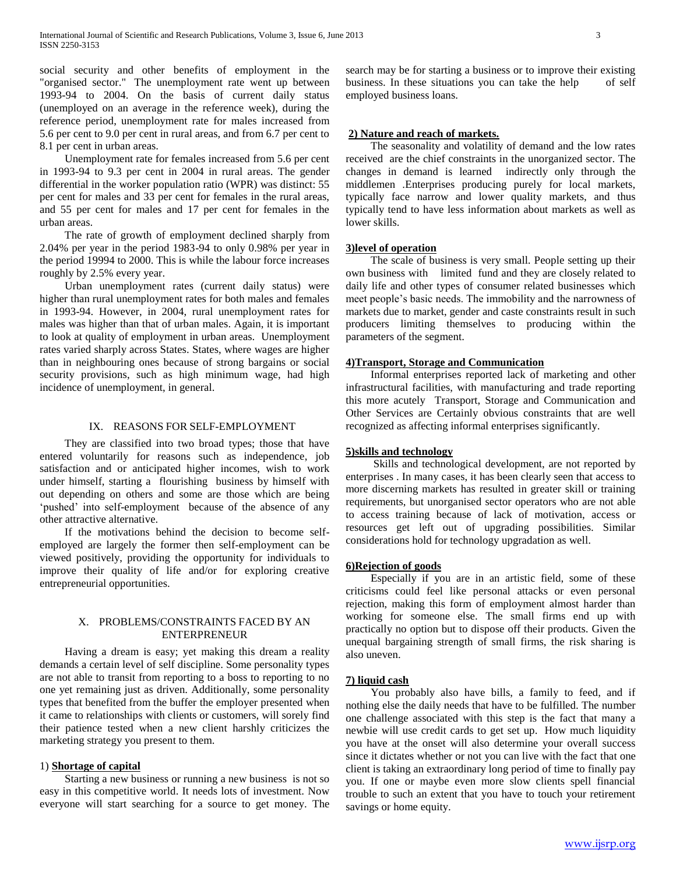social security and other benefits of employment in the "organised sector." The unemployment rate went up between 1993-94 to 2004. On the basis of current daily status (unemployed on an average in the reference week), during the reference period, unemployment rate for males increased from 5.6 per cent to 9.0 per cent in rural areas, and from 6.7 per cent to 8.1 per cent in urban areas.

 Unemployment rate for females increased from 5.6 per cent in 1993-94 to 9.3 per cent in 2004 in rural areas. The gender differential in the worker population ratio (WPR) was distinct: 55 per cent for males and 33 per cent for females in the rural areas, and 55 per cent for males and 17 per cent for females in the urban areas.

 The rate of growth of employment declined sharply from 2.04% per year in the period 1983-94 to only 0.98% per year in the period 19994 to 2000. This is while the labour force increases roughly by 2.5% every year.

 Urban unemployment rates (current daily status) were higher than rural unemployment rates for both males and females in 1993-94. However, in 2004, rural unemployment rates for males was higher than that of urban males. Again, it is important to look at quality of employment in urban areas. Unemployment rates varied sharply across States. States, where wages are higher than in neighbouring ones because of strong bargains or social security provisions, such as high minimum wage, had high incidence of unemployment, in general.

### IX. REASONS FOR SELF-EMPLOYMENT

 They are classified into two broad types; those that have entered voluntarily for reasons such as independence, job satisfaction and or anticipated higher incomes, wish to work under himself, starting a flourishing business by himself with out depending on others and some are those which are being 'pushed' into self-employment because of the absence of any other attractive alternative.

 If the motivations behind the decision to become selfemployed are largely the former then self-employment can be viewed positively, providing the opportunity for individuals to improve their quality of life and/or for exploring creative entrepreneurial opportunities.

### X. PROBLEMS/CONSTRAINTS FACED BY AN ENTERPRENEUR

 Having a dream is easy; yet making this dream a reality demands a certain level of self discipline. Some personality types are not able to transit from reporting to a boss to reporting to no one yet remaining just as driven. Additionally, some personality types that benefited from the buffer the employer presented when it came to relationships with clients or customers, will sorely find their patience tested when a new client harshly criticizes the marketing strategy you present to them.

### 1) **Shortage of capital**

 Starting a new business or running a new business is not so easy in this competitive world. It needs lots of investment. Now everyone will start searching for a source to get money. The search may be for starting a business or to improve their existing business. In these situations you can take the help of self employed business loans.

### **2) Nature and reach of markets.**

 The seasonality and volatility of demand and the low rates received are the chief constraints in the unorganized sector. The changes in demand is learned indirectly only through the middlemen .Enterprises producing purely for local markets, typically face narrow and lower quality markets, and thus typically tend to have less information about markets as well as lower skills.

### **3)level of operation**

 The scale of business is very small. People setting up their own business with limited fund and they are closely related to daily life and other types of consumer related businesses which meet people's basic needs. The immobility and the narrowness of markets due to market, gender and caste constraints result in such producers limiting themselves to producing within the parameters of the segment.

### **4)Transport, Storage and Communication**

 Informal enterprises reported lack of marketing and other infrastructural facilities, with manufacturing and trade reporting this more acutely Transport, Storage and Communication and Other Services are Certainly obvious constraints that are well recognized as affecting informal enterprises significantly.

### **5)skills and technology**

 Skills and technological development, are not reported by enterprises . In many cases, it has been clearly seen that access to more discerning markets has resulted in greater skill or training requirements, but unorganised sector operators who are not able to access training because of lack of motivation, access or resources get left out of upgrading possibilities. Similar considerations hold for technology upgradation as well.

### **6)Rejection of goods**

 Especially if you are in an artistic field, some of these criticisms could feel like personal attacks or even personal rejection, making this form of employment almost harder than working for someone else. The small firms end up with practically no option but to dispose off their products. Given the unequal bargaining strength of small firms, the risk sharing is also uneven.

### **7) liquid cash**

 You probably also have bills, a family to feed, and if nothing else the daily needs that have to be fulfilled. The number one challenge associated with this step is the fact that many a newbie will use credit cards to get set up. How much liquidity you have at the onset will also determine your overall success since it dictates whether or not you can live with the fact that one client is taking an extraordinary long period of time to finally pay you. If one or maybe even more slow clients spell financial trouble to such an extent that you have to touch your retirement savings or home equity.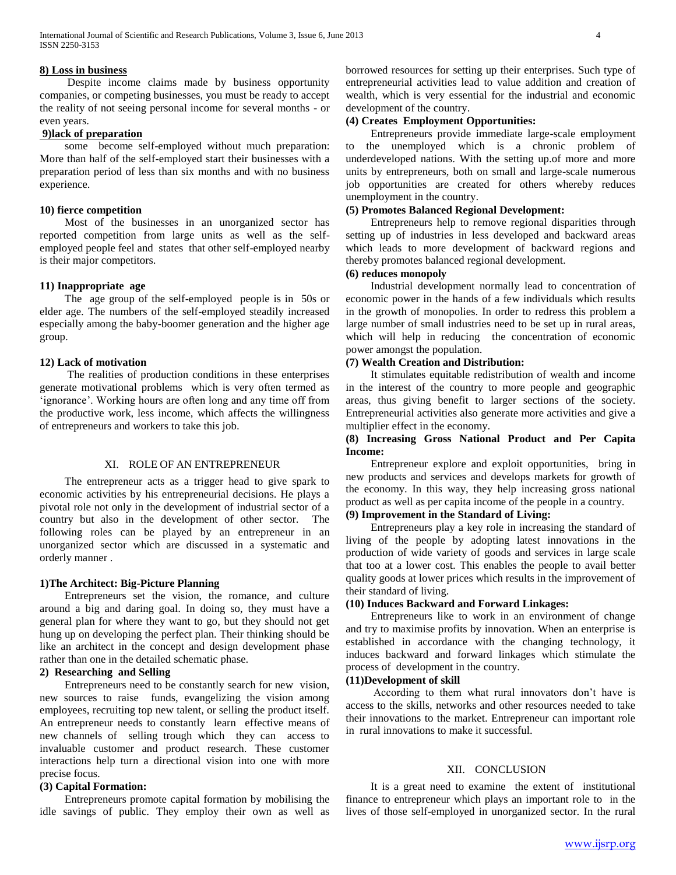### **8) Loss in business**

 Despite income claims made by business opportunity companies, or competing businesses, you must be ready to accept the reality of not seeing personal income for several months - or even years.

## **9)lack of preparation**

 some become self-employed without much preparation: More than half of the self-employed start their businesses with a preparation period of less than six months and with no business experience.

### **10) fierce competition**

 Most of the businesses in an unorganized sector has reported competition from large units as well as the selfemployed people feel and states that other self-employed nearby is their major competitors.

### **11) Inappropriate age**

 The age group of the self-employed people is in 50s or elder age. The numbers of the self-employed steadily increased especially among the baby-boomer generation and the higher age group.

### **12) Lack of motivation**

 The realities of production conditions in these enterprises generate motivational problems which is very often termed as 'ignorance'. Working hours are often long and any time off from the productive work, less income, which affects the willingness of entrepreneurs and workers to take this job.

### XI. ROLE OF AN ENTREPRENEUR

 The entrepreneur acts as a trigger head to give spark to economic activities by his entrepreneurial decisions. He plays a pivotal role not only in the development of industrial sector of a country but also in the development of other sector. The following roles can be played by an entrepreneur in an unorganized sector which are discussed in a systematic and orderly manner .

### **1)The Architect: Big-Picture Planning**

 Entrepreneurs set the vision, the romance, and culture around a big and daring goal. In doing so, they must have a general plan for where they want to go, but they should not get hung up on developing the perfect plan. Their thinking should be like an architect in the concept and design development phase rather than one in the detailed schematic phase.

# **2) Researching and Selling**

 Entrepreneurs need to be constantly search for new vision, new sources to raise funds, evangelizing the vision among employees, recruiting top new talent, or selling the product itself. An entrepreneur needs to constantly learn effective means of new channels of selling trough which they can access to invaluable customer and product research. These customer interactions help turn a directional vision into one with more precise focus.

### **(3) Capital Formation:**

 Entrepreneurs promote capital formation by mobilising the idle savings of public. They employ their own as well as borrowed resources for setting up their enterprises. Such type of entrepreneurial activities lead to value addition and creation of wealth, which is very essential for the industrial and economic development of the country.

### **(4) Creates Employment Opportunities:**

 Entrepreneurs provide immediate large-scale employment to the unemployed which is a chronic problem of underdeveloped nations. With the setting up.of more and more units by entrepreneurs, both on small and large-scale numerous job opportunities are created for others whereby reduces unemployment in the country.

# **(5) Promotes Balanced Regional Development:**

 Entrepreneurs help to remove regional disparities through setting up of industries in less developed and backward areas which leads to more development of backward regions and thereby promotes balanced regional development.

### **(6) reduces monopoly**

 Industrial development normally lead to concentration of economic power in the hands of a few individuals which results in the growth of monopolies. In order to redress this problem a large number of small industries need to be set up in rural areas, which will help in reducing the concentration of economic power amongst the population.

### **(7) Wealth Creation and Distribution:**

 It stimulates equitable redistribution of wealth and income in the interest of the country to more people and geographic areas, thus giving benefit to larger sections of the society. Entrepreneurial activities also generate more activities and give a multiplier effect in the economy.

### **(8) Increasing Gross National Product and Per Capita Income:**

 Entrepreneur explore and exploit opportunities, bring in new products and services and develops markets for growth of the economy. In this way, they help increasing gross national product as well as per capita income of the people in a country.

### **(9) Improvement in the Standard of Living:**

 Entrepreneurs play a key role in increasing the standard of living of the people by adopting latest innovations in the production of wide variety of goods and services in large scale that too at a lower cost. This enables the people to avail better quality goods at lower prices which results in the improvement of their standard of living.

### **(10) Induces Backward and Forward Linkages:**

 Entrepreneurs like to work in an environment of change and try to maximise profits by innovation. When an enterprise is established in accordance with the changing technology, it induces backward and forward linkages which stimulate the process of development in the country.

### **(11)Development of skill**

 According to them what rural innovators don't have is access to the skills, networks and other resources needed to take their innovations to the market. Entrepreneur can important role in rural innovations to make it successful.

### XII. CONCLUSION

 It is a great need to examine the extent of institutional finance to entrepreneur which plays an important role to in the lives of those self-employed in unorganized sector. In the rural